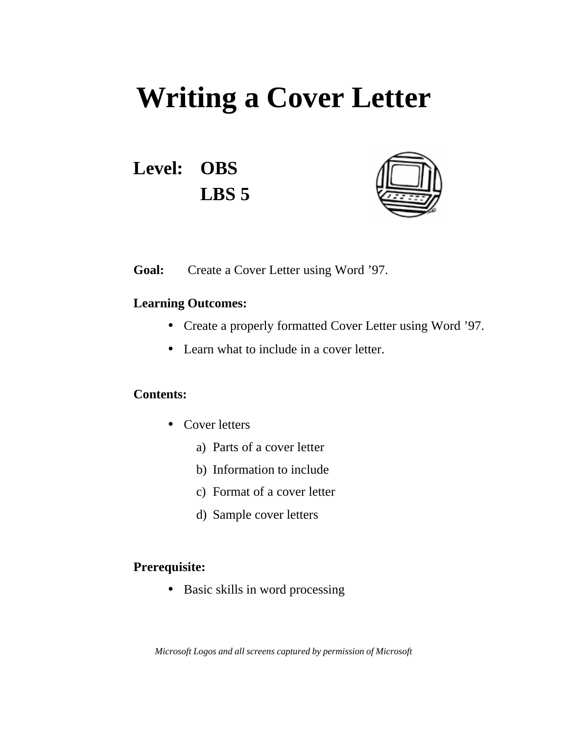# **Writing a Cover Letter**

**Level: OBS LBS 5**



**Goal:** Create a Cover Letter using Word '97.

#### **Learning Outcomes:**

- Create a properly formatted Cover Letter using Word '97.
- Learn what to include in a cover letter.

#### **Contents:**

- Cover letters
	- a) Parts of a cover letter
	- b) Information to include
	- c) Format of a cover letter
	- d) Sample cover letters

#### **Prerequisite:**

• Basic skills in word processing

*Microsoft Logos and all screens captured by permission of Microsoft*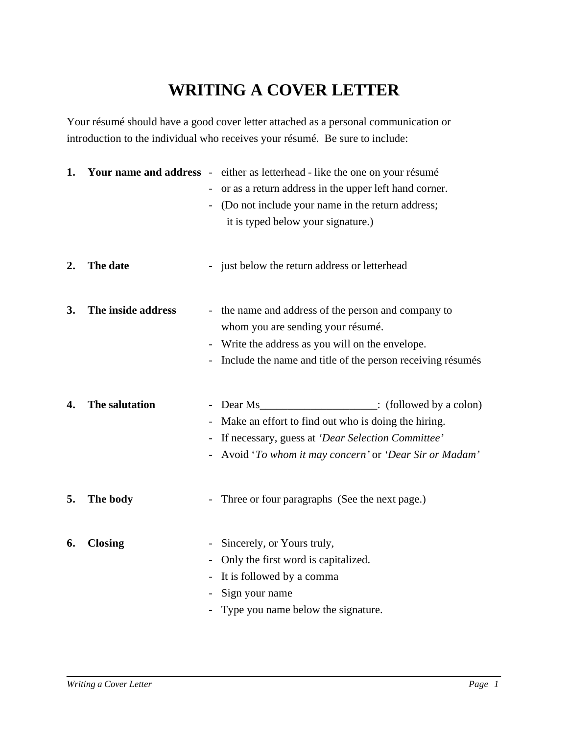## **WRITING A COVER LETTER**

Your résumé should have a good cover letter attached as a personal communication or introduction to the individual who receives your résumé. Be sure to include:

| 1.               |                    | Your name and address - either as letterhead - like the one on your résumé<br>or as a return address in the upper left hand corner.<br>(Do not include your name in the return address;<br>it is typed below your signature.)               |
|------------------|--------------------|---------------------------------------------------------------------------------------------------------------------------------------------------------------------------------------------------------------------------------------------|
| $\overline{2}$ . | The date           | just below the return address or letterhead<br>$\blacksquare$                                                                                                                                                                               |
| 3.               | The inside address | the name and address of the person and company to<br>whom you are sending your résumé.<br>- Write the address as you will on the envelope.<br>Include the name and title of the person receiving résumés                                    |
| 4.               | The salutation     | - Dear Ms <sub>_________________________</sub> : (followed by a colon)<br>Make an effort to find out who is doing the hiring.<br>If necessary, guess at 'Dear Selection Committee'<br>Avoid 'To whom it may concern' or 'Dear Sir or Madam' |
| 5.               | The body           | - Three or four paragraphs (See the next page.)                                                                                                                                                                                             |
| 6.               | <b>Closing</b>     | Sincerely, or Yours truly,<br>Only the first word is capitalized.<br>It is followed by a comma<br>Sign your name<br>Type you name below the signature.                                                                                      |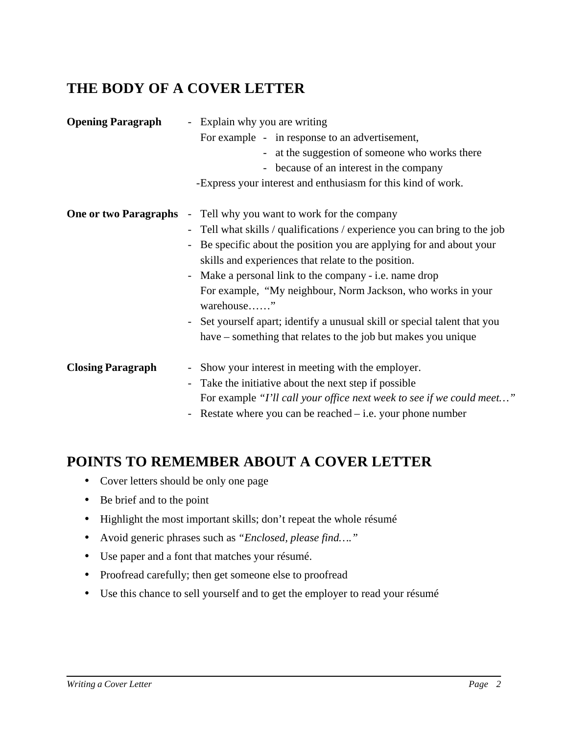## **THE BODY OF A COVER LETTER**

| <b>Opening Paragraph</b>     | - Explain why you are writing                                                        |
|------------------------------|--------------------------------------------------------------------------------------|
|                              | For example - in response to an advertisement,                                       |
|                              | - at the suggestion of someone who works there                                       |
|                              | - because of an interest in the company                                              |
|                              | -Express your interest and enthusiasm for this kind of work.                         |
| <b>One or two Paragraphs</b> | Tell why you want to work for the company<br>$\omega_{\rm c}$                        |
|                              | - Tell what skills / qualifications / experience you can bring to the job            |
|                              | Be specific about the position you are applying for and about your<br>$\blacksquare$ |
|                              | skills and experiences that relate to the position.                                  |
|                              | - Make a personal link to the company - i.e. name drop                               |
|                              | For example, "My neighbour, Norm Jackson, who works in your                          |
|                              | warehouse"                                                                           |
|                              | - Set yourself apart; identify a unusual skill or special talent that you            |
|                              | have – something that relates to the job but makes you unique                        |
| <b>Closing Paragraph</b>     | Show your interest in meeting with the employer.<br>$\overline{\phantom{a}}$         |
|                              | Take the initiative about the next step if possible<br>$\overline{\phantom{a}}$      |
|                              | For example "I'll call your office next week to see if we could meet"                |
|                              | - Restate where you can be reached $-$ i.e. your phone number                        |

#### **POINTS TO REMEMBER ABOUT A COVER LETTER**

- Cover letters should be only one page
- Be brief and to the point
- Highlight the most important skills; don't repeat the whole résumé
- Avoid generic phrases such as *"Enclosed, please find…."*
- Use paper and a font that matches your résumé.
- Proofread carefully; then get someone else to proofread
- Use this chance to sell yourself and to get the employer to read your résumé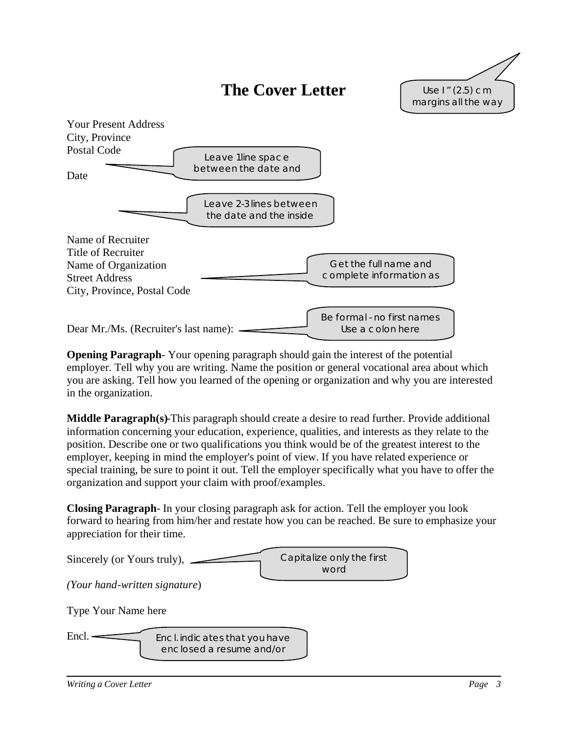## **The Cover Letter**





**Opening Paragraph**- Your opening paragraph should gain the interest of the potential employer. Tell why you are writing. Name the position or general vocational area about which you are asking. Tell how you learned of the opening or organization and why you are interested in the organization.

**Middle Paragraph(s)**-This paragraph should create a desire to read further. Provide additional information concerning your education, experience, qualities, and interests as they relate to the position. Describe one or two qualifications you think would be of the greatest interest to the employer, keeping in mind the employer's point of view. If you have related experience or special training, be sure to point it out. Tell the employer specifically what you have to offer the organization and support your claim with proof/examples.

**Closing Paragraph**- In your closing paragraph ask for action. Tell the employer you look forward to hearing from him/her and restate how you can be reached. Be sure to emphasize your appreciation for their time.

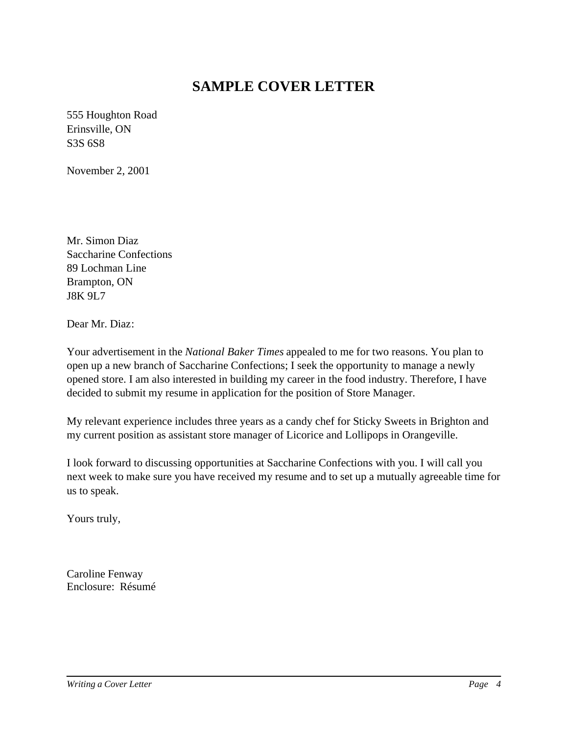## **SAMPLE COVER LETTER**

555 Houghton Road Erinsville, ON S3S 6S8

November 2, 2001

Mr. Simon Diaz Saccharine Confections 89 Lochman Line Brampton, ON J8K 9L7

Dear Mr. Diaz:

Your advertisement in the *National Baker Times* appealed to me for two reasons. You plan to open up a new branch of Saccharine Confections; I seek the opportunity to manage a newly opened store. I am also interested in building my career in the food industry. Therefore, I have decided to submit my resume in application for the position of Store Manager.

My relevant experience includes three years as a candy chef for Sticky Sweets in Brighton and my current position as assistant store manager of Licorice and Lollipops in Orangeville.

I look forward to discussing opportunities at Saccharine Confections with you. I will call you next week to make sure you have received my resume and to set up a mutually agreeable time for us to speak.

Yours truly,

Caroline Fenway Enclosure: Résumé